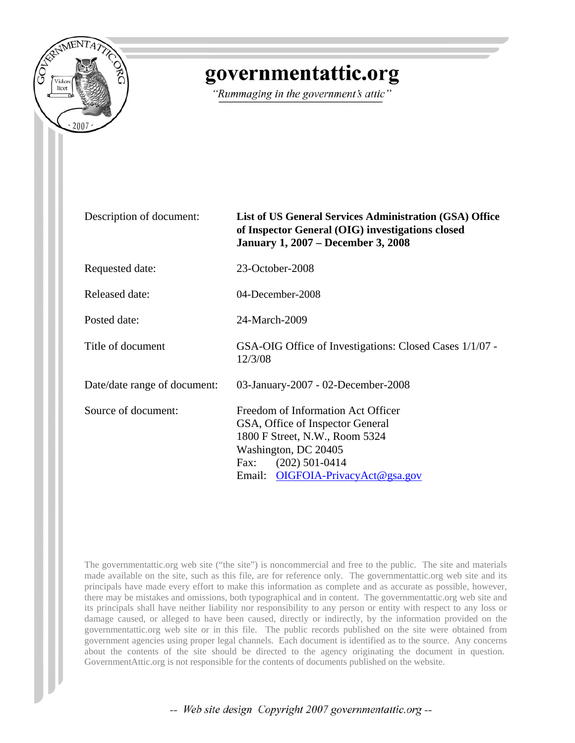

## governmentattic.org

"Rummaging in the government's attic"

| Description of document:     | List of US General Services Administration (GSA) Office<br>of Inspector General (OIG) investigations closed<br><b>January 1, 2007 – December 3, 2008</b>                                       |
|------------------------------|------------------------------------------------------------------------------------------------------------------------------------------------------------------------------------------------|
| Requested date:              | 23-October-2008                                                                                                                                                                                |
| Released date:               | 04-December-2008                                                                                                                                                                               |
| Posted date:                 | 24-March-2009                                                                                                                                                                                  |
| Title of document            | GSA-OIG Office of Investigations: Closed Cases 1/1/07 -<br>12/3/08                                                                                                                             |
| Date/date range of document: | 03-January-2007 - 02-December-2008                                                                                                                                                             |
| Source of document:          | Freedom of Information Act Officer<br>GSA, Office of Inspector General<br>1800 F Street, N.W., Room 5324<br>Washington, DC 20405<br>Fax: $(202)$ 501-0414<br>Email: OIGFOIA-PrivacyAct@gsa.gov |

The governmentattic.org web site ("the site") is noncommercial and free to the public. The site and materials made available on the site, such as this file, are for reference only. The governmentattic.org web site and its principals have made every effort to make this information as complete and as accurate as possible, however, there may be mistakes and omissions, both typographical and in content. The governmentattic.org web site and its principals shall have neither liability nor responsibility to any person or entity with respect to any loss or damage caused, or alleged to have been caused, directly or indirectly, by the information provided on the governmentattic.org web site or in this file. The public records published on the site were obtained from government agencies using proper legal channels. Each document is identified as to the source. Any concerns about the contents of the site should be directed to the agency originating the document in question. GovernmentAttic.org is not responsible for the contents of documents published on the website.

-- Web site design Copyright 2007 governmentattic.org --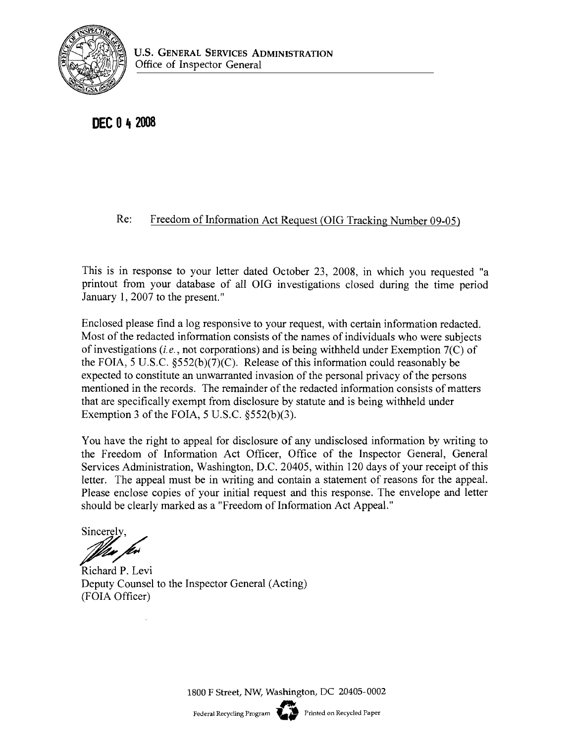

**DEC 0** ~ **<sup>2008</sup>**

## Re: Freedom of Information Act Request (OIG Tracking Number 09-05)

This is in response to your letter dated October 23, 2008, in which you requested "a printout from your database of all OIG investigations closed during the time period January I, 2007 to the present."

Enclosed please find a log responsive to your request, with certain information redacted. Most of the redacted information consists of the names of individuals who were subjects of investigations *(i.e.,* not corporations) and is being withheld under Exemption 7(C) of the FOIA, 5 U.S.c. §552(b)(7)(C). Release of this information could reasonably be expected to constitute an unwarranted invasion of the personal privacy of the persons mentioned in the records. The remainder of the redacted information consists of matters that are specifically exempt from disclosure by statute and is being withheld under Exemption 3 of the FOIA,  $5$  U.S.C.  $\S552(b)(3)$ .

You have the right to appeal for disclosure of any undisclosed information by writing to the Freedom of Information Act Officer, Office of the Inspector General, General Services Administration, Washington, D.C. 20405, within 120 days of your receipt of this letter. The appeal must be in writing and contain a statement of reasons for the appeal. Please enclose copies of your initial request and this response. The envelope and letter should be clearly marked as a "Freedom of Information Act Appeal."

Sincerely. *Wax fer* 

Richard P. Levi Deputy Counsel to the Inspector General (Acting) (FOIA Officer)

1800 F Street, NW, Washington, DC 20405-0002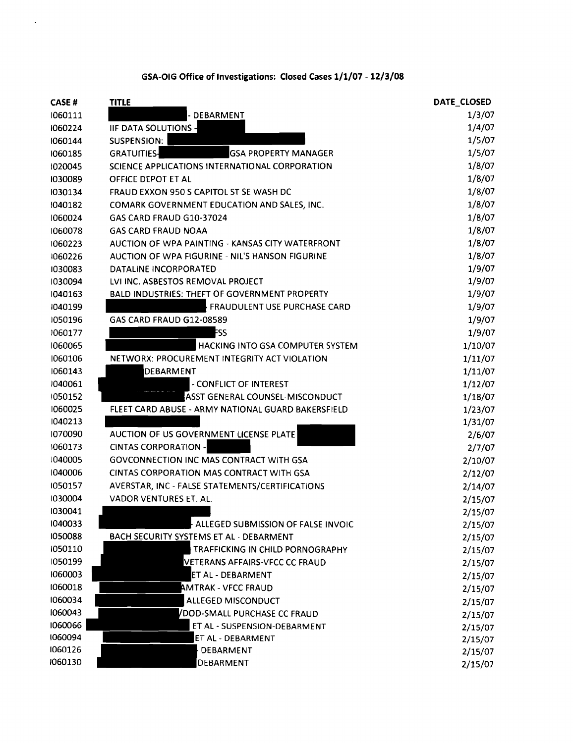| GSA-OIG Office of Investigations: Closed Cases 1/1/07 - 12/3/08 |  |
|-----------------------------------------------------------------|--|
|-----------------------------------------------------------------|--|

 $\mathcal{L}^{\text{max}}$ 

| <b>CASE#</b> | <b>TITLE</b>                                         | DATE_CLOSED |
|--------------|------------------------------------------------------|-------------|
| 1060111      | - DEBARMENT                                          | 1/3/07      |
| 1060224      | <b>IIF DATA SOLUTIONS -</b>                          | 1/4/07      |
| 1060144      | SUSPENSION:                                          | 1/5/07      |
| 1060185      | <b>GRATUITIES-</b><br><b>GSA PROPERTY MANAGER</b>    | 1/5/07      |
| 1020045      | SCIENCE APPLICATIONS INTERNATIONAL CORPORATION       | 1/8/07      |
| 1030089      | OFFICE DEPOT ET AL                                   | 1/8/07      |
| 1030134      | FRAUD EXXON 950 S CAPITOL ST SE WASH DC              | 1/8/07      |
| 1040182      | COMARK GOVERNMENT EDUCATION AND SALES, INC.          | 1/8/07      |
| 1060024      | GAS CARD FRAUD G10-37024                             | 1/8/07      |
| 1060078      | <b>GAS CARD FRAUD NOAA</b>                           | 1/8/07      |
| 1060223      | AUCTION OF WPA PAINTING - KANSAS CITY WATERFRONT     | 1/8/07      |
| 1060226      | AUCTION OF WPA FIGURINE - NIL'S HANSON FIGURINE      | 1/8/07      |
| 1030083      | DATALINE INCORPORATED                                | 1/9/07      |
| 1030094      | LVI INC. ASBESTOS REMOVAL PROJECT                    | 1/9/07      |
| 1040163      | <b>BALD INDUSTRIES: THEFT OF GOVERNMENT PROPERTY</b> | 1/9/07      |
| 1040199      | <b>FRAUDULENT USE PURCHASE CARD</b>                  | 1/9/07      |
| 1050196      | GAS CARD FRAUD G12-08589                             | 1/9/07      |
| 1060177      | FSS                                                  | 1/9/07      |
| 1060065      | HACKING INTO GSA COMPUTER SYSTEM                     | 1/10/07     |
| 1060106      | NETWORX: PROCUREMENT INTEGRITY ACT VIOLATION         | 1/11/07     |
| 1060143      | <b>DEBARMENT</b>                                     | 1/11/07     |
| 1040061      | - CONFLICT OF INTEREST                               | 1/12/07     |
| 1050152      | <b>ASST GENERAL COUNSEL-MISCONDUCT</b>               | 1/18/07     |
| 1060025      | FLEET CARD ABUSE - ARMY NATIONAL GUARD BAKERSFIELD   | 1/23/07     |
| 1040213      |                                                      | 1/31/07     |
| 1070090      | AUCTION OF US GOVERNMENT LICENSE PLATE               | 2/6/07      |
| 1060173      | <b>CINTAS CORPORATION -</b>                          | 2/7/07      |
| 1040005      | <b>GOVCONNECTION INC MAS CONTRACT WITH GSA</b>       | 2/10/07     |
| 1040006      | CINTAS CORPORATION MAS CONTRACT WITH GSA             | 2/12/07     |
| 1050157      | AVERSTAR, INC - FALSE STATEMENTS/CERTIFICATIONS      | 2/14/07     |
| 1030004      | VADOR VENTURES ET. AL.                               | 2/15/07     |
| 1030041      |                                                      | 2/15/07     |
| 1040033      | ALLEGED SUBMISSION OF FALSE INVOIC                   | 2/15/07     |
| 1050088      | BACH SECURITY SYSTEMS ET AL - DEBARMENT              | 2/15/07     |
| 1050110      | TRAFFICKING IN CHILD PORNOGRAPHY                     | 2/15/07     |
| 1050199      | VETERANS AFFAIRS-VFCC CC FRAUD                       | 2/15/07     |
| 1060003      | ET AL - DEBARMENT                                    | 2/15/07     |
| 1060018      | <b>AMTRAK - VFCC FRAUD</b>                           | 2/15/07     |
| 1060034      | ALLEGED MISCONDUCT                                   | 2/15/07     |
| 1060043      | VDOD-SMALL PURCHASE CC FRAUD                         | 2/15/07     |
| 1060066      | ET AL - SUSPENSION-DEBARMENT                         | 2/15/07     |
| 1060094      | ET AL - DEBARMENT                                    | 2/15/07     |
| 1060126      | DEBARMENT                                            | 2/15/07     |
| 1060130      | <b>DEBARMENT</b>                                     | 2/15/07     |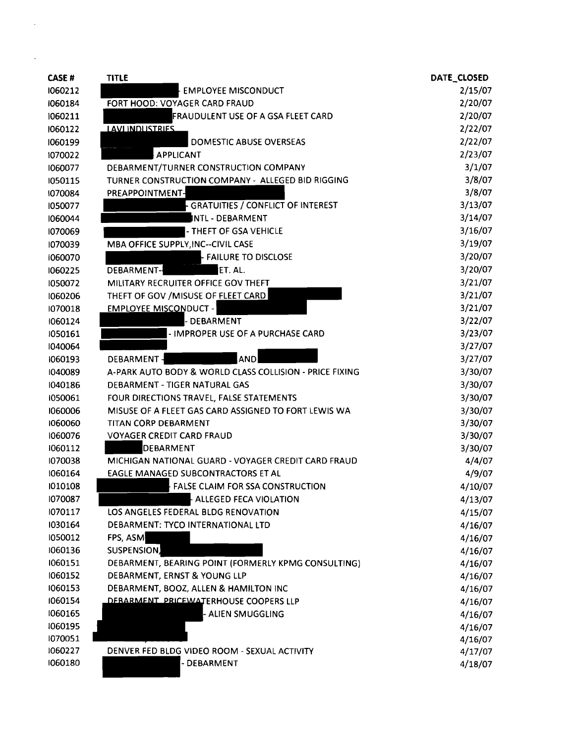| <b>CASE#</b> | <b>TITLE</b>                                            | DATE_CLOSED |
|--------------|---------------------------------------------------------|-------------|
| 1060212      | <b>EMPLOYEE MISCONDUCT</b>                              | 2/15/07     |
| 1060184      | FORT HOOD: VOYAGER CARD FRAUD                           | 2/20/07     |
| 1060211      | FRAUDULENT USE OF A GSA FLEET CARD                      | 2/20/07     |
| 1060122      | <b>LAVI INDUSTRIES</b>                                  | 2/22/07     |
| 1060199      | <b>DOMESTIC ABUSE OVERSEAS</b>                          | 2/22/07     |
| 1070022      | <b>APPLICANT</b>                                        | 2/23/07     |
| 1060077      | DEBARMENT/TURNER CONSTRUCTION COMPANY                   | 3/1/07      |
| 1050115      | TURNER CONSTRUCTION COMPANY - ALLEGED BID RIGGING       | 3/8/07      |
| 1070084      | PREAPPOINTMENT-                                         | 3/8/07      |
| 1050077      | <b>GRATUITIES / CONFLICT OF INTEREST</b>                | 3/13/07     |
| 1060044      | INTL - DEBARMENT                                        | 3/14/07     |
| 1070069      | - THEFT OF GSA VEHICLE                                  | 3/16/07     |
| 1070039      | MBA OFFICE SUPPLY, INC--CIVIL CASE                      | 3/19/07     |
| 1060070      | <b>FAILURE TO DISCLOSE</b>                              | 3/20/07     |
| 1060225      | DEBARMENT-<br>ET. AL.                                   | 3/20/07     |
| 1050072      | MILITARY RECRUITER OFFICE GOV THEFT                     | 3/21/07     |
| 1060206      | THEFT OF GOV / MISUSE OF FLEET CARD                     | 3/21/07     |
| 1070018      | <b>EMPLOYEE MISCONDUCT -</b>                            | 3/21/07     |
| 1060124      | <b>DEBARMENT</b>                                        | 3/22/07     |
| 1050161      | - IMPROPER USE OF A PURCHASE CARD                       | 3/23/07     |
| 1040064      |                                                         | 3/27/07     |
| 1060193      | <b>AND</b><br>DEBARMENT-                                | 3/27/07     |
| 1040089      | A-PARK AUTO BODY & WORLD CLASS COLLISION - PRICE FIXING | 3/30/07     |
| 1040186      | DEBARMENT - TIGER NATURAL GAS                           | 3/30/07     |
| 1050061      | FOUR DIRECTIONS TRAVEL, FALSE STATEMENTS                | 3/30/07     |
| 1060006      | MISUSE OF A FLEET GAS CARD ASSIGNED TO FORT LEWIS WA    | 3/30/07     |
| 1060060      | TITAN CORP DEBARMENT                                    | 3/30/07     |
| 1060076      | <b>VOYAGER CREDIT CARD FRAUD</b>                        | 3/30/07     |
| 1060112      | <b>DEBARMENT</b>                                        | 3/30/07     |
| 1070038      | MICHIGAN NATIONAL GUARD - VOYAGER CREDIT CARD FRAUD     | 4/4/07      |
| 1060164      | EAGLE MANAGED SUBCONTRACTORS ET AL                      | 4/9/07      |
| 1010108      | FALSE CLAIM FOR SSA CONSTRUCTION                        | 4/10/07     |
| 1070087      | ALLEGED FECA VIOLATION                                  | 4/13/07     |
| 1070117      | LOS ANGELES FEDERAL BLDG RENOVATION                     | 4/15/07     |
| 1030164      | DEBARMENT: TYCO INTERNATIONAL LTD                       | 4/16/07     |
| 1050012      | FPS, ASM                                                | 4/16/07     |
| 1060136      | SUSPENSION,                                             | 4/16/07     |
| 1060151      | DEBARMENT, BEARING POINT (FORMERLY KPMG CONSULTING)     | 4/16/07     |
| 1060152      | DEBARMENT, ERNST & YOUNG LLP                            | 4/16/07     |
| 1060153      | DEBARMENT, BOOZ, ALLEN & HAMILTON INC                   | 4/16/07     |
| 1060154      | DEBARMENT PRICEWATERHOUSE COOPERS LLP                   | 4/16/07     |
| 1060165      | - ALIEN SMUGGLING                                       | 4/16/07     |
| 1060195      |                                                         | 4/16/07     |
| 1070051      |                                                         | 4/16/07     |
| 1060227      | DENVER FED BLDG VIDEO ROOM - SEXUAL ACTIVITY            | 4/17/07     |
| 1060180      | - DEBARMENT                                             | 4/18/07     |

 $\label{eq:2.1} \frac{1}{\sqrt{2}}\int_{\mathbb{R}^3}\frac{1}{\sqrt{2}}\left(\frac{1}{\sqrt{2}}\right)^2\frac{1}{\sqrt{2}}\left(\frac{1}{\sqrt{2}}\right)^2\frac{1}{\sqrt{2}}\left(\frac{1}{\sqrt{2}}\right)^2.$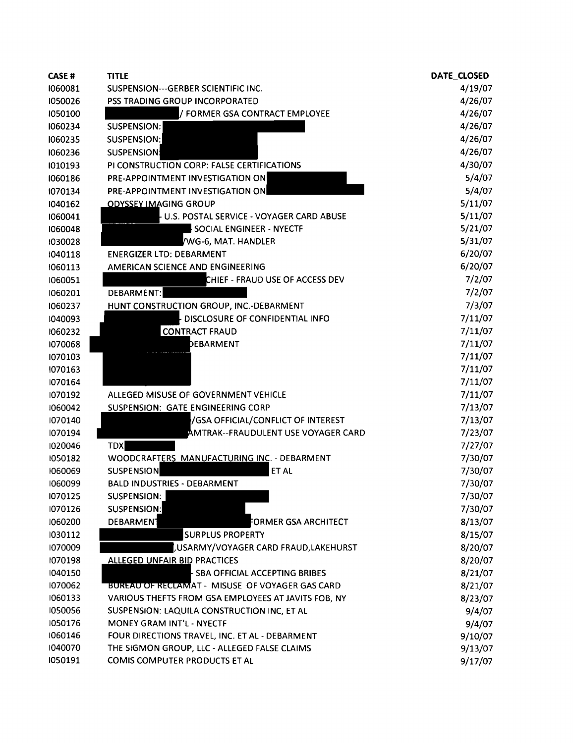| <b>CASE#</b> | <b>TITLE</b>                                           | DATE_CLOSED |
|--------------|--------------------------------------------------------|-------------|
| 1060081      | SUSPENSION---GERBER SCIENTIFIC INC.                    | 4/19/07     |
| 1050026      | PSS TRADING GROUP INCORPORATED                         | 4/26/07     |
| 1050100      | / FORMER GSA CONTRACT EMPLOYEE                         | 4/26/07     |
| 1060234      | <b>SUSPENSION:</b>                                     | 4/26/07     |
| 1060235      | SUSPENSION:                                            | 4/26/07     |
| 1060236      | <b>SUSPENSION:</b>                                     | 4/26/07     |
| 1010193      | PI CONSTRUCTION CORP: FALSE CERTIFICATIONS             | 4/30/07     |
| 1060186      | PRE-APPOINTMENT INVESTIGATION ON                       | 5/4/07      |
| 1070134      | PRE-APPOINTMENT INVESTIGATION ON                       | 5/4/07      |
| 1040162      | <b>ODYSSEY IMAGING GROUP</b>                           | 5/11/07     |
| 1060041      | U.S. POSTAL SERVICE - VOYAGER CARD ABUSE               | 5/11/07     |
| 1060048      | SOCIAL ENGINEER - NYECTF                               | 5/21/07     |
| 1030028      | WG-6, MAT. HANDLER                                     | 5/31/07     |
| 1040118      | <b>ENERGIZER LTD: DEBARMENT</b>                        | 6/20/07     |
| 1060113      | AMERICAN SCIENCE AND ENGINEERING                       | 6/20/07     |
| 1060051      | CHIEF - FRAUD USE OF ACCESS DEV                        | 7/2/07      |
| 1060201      | DEBARMENT:                                             | 7/2/07      |
| 1060237      | HUNT CONSTRUCTION GROUP, INC.-DEBARMENT                | 7/3/07      |
| 1040093      | DISCLOSURE OF CONFIDENTIAL INFO                        | 7/11/07     |
| 1060232      | <b>CONTRACT FRAUD</b>                                  | 7/11/07     |
| 1070068      | DEBARMENT                                              | 7/11/07     |
| 1070103      |                                                        | 7/11/07     |
| 1070163      |                                                        | 7/11/07     |
| 1070164      |                                                        | 7/11/07     |
| 1070192      | ALLEGED MISUSE OF GOVERNMENT VEHICLE                   | 7/11/07     |
| 1060042      | SUSPENSION: GATE ENGINEERING CORP                      | 7/13/07     |
| 1070140      | /GSA OFFICIAL/CONFLICT OF INTEREST                     | 7/13/07     |
| 1070194      | AMTRAK--FRAUDULENT USE VOYAGER CARD                    | 7/23/07     |
| 1020046      | <b>TDX</b>                                             | 7/27/07     |
| 1050182      | WOODCRAFTERS MANUFACTURING INC. - DEBARMENT            | 7/30/07     |
| 1060069      | SUSPENSION<br>ET AL                                    | 7/30/07     |
| 1060099      | <b>BALD INDUSTRIES - DEBARMENT</b>                     | 7/30/07     |
| 1070125      | SUSPENSION:                                            | 7/30/07     |
| 1070126      | SUSPENSION:                                            | 7/30/07     |
| 1060200      | DEBARMENT<br>FORMER GSA ARCHITECT                      | 8/13/07     |
| 1030112      | <b>SURPLUS PROPERTY</b>                                | 8/15/07     |
| 1070009      | , USARMY/VOYAGER CARD FRAUD, LAKEHURST                 | 8/20/07     |
| 1070198      | <b>ALLEGED UNFAIR BID PRACTICES</b>                    | 8/20/07     |
| 1040150      | <b>- SBA OFFICIAL ACCEPTING BRIBES</b>                 | 8/21/07     |
| 1070062      | <b>BUREAU OF RECLAMAT - MISUSE OF VOYAGER GAS CARD</b> | 8/21/07     |
| 1060133      | VARIOUS THEFTS FROM GSA EMPLOYEES AT JAVITS FOB, NY    | 8/23/07     |
| 1050056      | SUSPENSION: LAQUILA CONSTRUCTION INC, ET AL            | 9/4/07      |
| 1050176      | MONEY GRAM INT'L - NYECTF                              | 9/4/07      |
| 1060146      | FOUR DIRECTIONS TRAVEL, INC. ET AL - DEBARMENT         | 9/10/07     |
| 1040070      | THE SIGMON GROUP, LLC - ALLEGED FALSE CLAIMS           | 9/13/07     |
| 1050191      | COMIS COMPUTER PRODUCTS ET AL                          | 9/17/07     |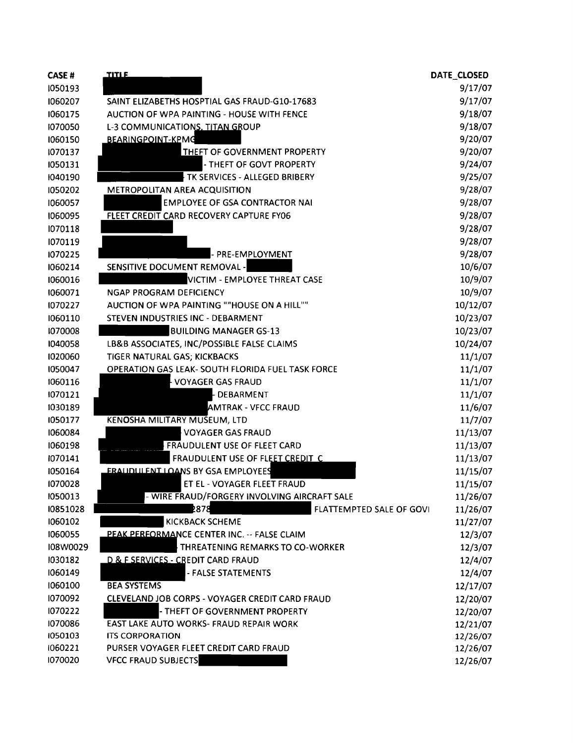| CASE#    | <b>TITLE</b>                                      | DATE CLOSED |
|----------|---------------------------------------------------|-------------|
| 1050193  |                                                   | 9/17/07     |
| 1060207  | SAINT ELIZABETHS HOSPTIAL GAS FRAUD-G10-17683     | 9/17/07     |
| 1060175  | AUCTION OF WPA PAINTING - HOUSE WITH FENCE        | 9/18/07     |
| 1070050  | L-3 COMMUNICATIONS, TITAN GROUP                   | 9/18/07     |
| 1060150  | <b>BEARINGPOINT-KPMG</b>                          | 9/20/07     |
| 1070137  | <b>THEFT OF GOVERNMENT PROPERTY</b>               | 9/20/07     |
| 1050131  | - THEFT OF GOVT PROPERTY                          | 9/24/07     |
| 1040190  | TK SERVICES - ALLEGED BRIBERY                     | 9/25/07     |
| 1050202  | <b>METROPOLITAN AREA ACQUISITION</b>              | 9/28/07     |
| 1060057  | <b>EMPLOYEE OF GSA CONTRACTOR NAI</b>             | 9/28/07     |
| 1060095  | FLEET CREDIT CARD RECOVERY CAPTURE FY06           | 9/28/07     |
| 1070118  |                                                   | 9/28/07     |
| 1070119  |                                                   | 9/28/07     |
| 1070225  | - PRE-EMPLOYMENT                                  | 9/28/07     |
| 1060214  | SENSITIVE DOCUMENT REMOVAL -                      | 10/6/07     |
| 1060016  | VICTIM - EMPLOYEE THREAT CASE                     | 10/9/07     |
| 1060071  | <b>NGAP PROGRAM DEFICIENCY</b>                    | 10/9/07     |
| 1070227  | AUCTION OF WPA PAINTING ""HOUSE ON A HILL""       | 10/12/07    |
| 1060110  | STEVEN INDUSTRIES INC - DEBARMENT                 | 10/23/07    |
| 1070008  | <b>BUILDING MANAGER GS-13</b>                     | 10/23/07    |
| 1040058  | LB&B ASSOCIATES, INC/POSSIBLE FALSE CLAIMS        | 10/24/07    |
| 1020060  | TIGER NATURAL GAS; KICKBACKS                      | 11/1/07     |
| 1050047  | OPERATION GAS LEAK- SOUTH FLORIDA FUEL TASK FORCE | 11/1/07     |
| 1060116  | <b>VOYAGER GAS FRAUD</b>                          | 11/1/07     |
| 1070121  | - DEBARMENT                                       | 11/1/07     |
| 1030189  | <b>AMTRAK - VFCC FRAUD</b>                        | 11/6/07     |
| 1050177  | KENOSHA MILITARY MUSEUM, LTD                      | 11/7/07     |
| 1060084  | <b>VOYAGER GAS FRAUD</b>                          | 11/13/07    |
| 1060198  | FRAUDULENT USE OF FLEET CARD                      | 11/13/07    |
| 1070141  | FRAUDULENT USE OF FLEET CREDIT C                  | 11/13/07    |
| 1050164  | <b>ERALIDULENT LOANS BY GSA EMPLOYEES</b>         | 11/15/07    |
| 1070028  | ET EL - VOYAGER FLEET FRAUD                       | 11/15/07    |
| 1050013  | - WIRE FRAUD/FORGERY INVOLVING AIRCRAFT SALE      | 11/26/07    |
| 10851028 | 2878<br>FLATTEMPTED SALE OF GOVI                  | 11/26/07    |
| 1060102  | KICKBACK SCHEME                                   | 11/27/07    |
| 1060055  | PEAK PERFORMANCE CENTER INC. -- FALSE CLAIM       | 12/3/07     |
| I08W0029 | THREATENING REMARKS TO CO-WORKER                  | 12/3/07     |
| 1030182  | D & F SERVICES - CREDIT CARD FRAUD                | 12/4/07     |
| 1060149  | - FALSE STATEMENTS                                | 12/4/07     |
| 1060100  | <b>BEA SYSTEMS</b>                                | 12/17/07    |
| 1070092  | CLEVELAND JOB CORPS - VOYAGER CREDIT CARD FRAUD   | 12/20/07    |
| 1070222  | - THEFT OF GOVERNMENT PROPERTY                    | 12/20/07    |
| 1070086  | EAST LAKE AUTO WORKS- FRAUD REPAIR WORK           | 12/21/07    |
| 1050103  | <b>ITS CORPORATION</b>                            | 12/26/07    |
| 1060221  | PURSER VOYAGER FLEET CREDIT CARD FRAUD            | 12/26/07    |
| 1070020  | <b>VFCC FRAUD SUBJECTS</b>                        | 12/26/07    |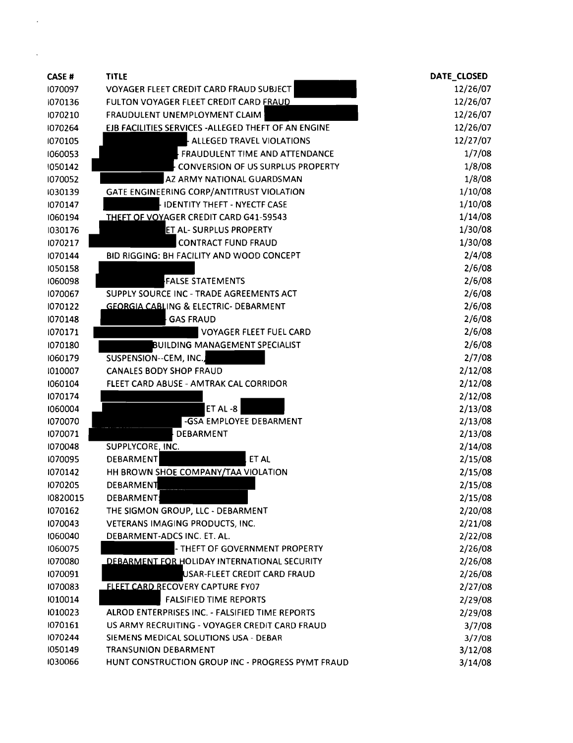| <b>CASE#</b> | <b>TITLE</b>                                         | DATE_CLOSED |
|--------------|------------------------------------------------------|-------------|
| 1070097      | VOYAGER FLEET CREDIT CARD FRAUD SUBJECT              | 12/26/07    |
| 1070136      | FULTON VOYAGER FLEET CREDIT CARD FRAUD               | 12/26/07    |
| 1070210      | FRAUDULENT UNEMPLOYMENT CLAIM                        | 12/26/07    |
| 1070264      | EJB FACILITIES SERVICES - ALLEGED THEFT OF AN ENGINE | 12/26/07    |
| 1070105      | ALLEGED TRAVEL VIOLATIONS                            | 12/27/07    |
| 1060053      | FRAUDULENT TIME AND ATTENDANCE                       | 1/7/08      |
| 1050142      | <b>CONVERSION OF US SURPLUS PROPERTY</b>             | 1/8/08      |
| 1070052      | AZ ARMY NATIONAL GUARDSMAN                           | 1/8/08      |
| 1030139      | GATE ENGINEERING CORP/ANTITRUST VIOLATION            | 1/10/08     |
| 1070147      | <b>IDENTITY THEFT - NYECTF CASE</b>                  | 1/10/08     |
| 1060194      | THEFT OF VOYAGER CREDIT CARD G41-59543               | 1/14/08     |
| 1030176      | <b>ET AL- SURPLUS PROPERTY</b>                       | 1/30/08     |
| 1070217      | <b>CONTRACT FUND FRAUD</b>                           | 1/30/08     |
| 1070144      | BID RIGGING: BH FACILITY AND WOOD CONCEPT            | 2/4/08      |
| 1050158      |                                                      | 2/6/08      |
| 1060098      | <b>FALSE STATEMENTS</b>                              | 2/6/08      |
| 1070067      | SUPPLY SOURCE INC - TRADE AGREEMENTS ACT             | 2/6/08      |
| 1070122      | <b>GEORGIA CABLING &amp; ELECTRIC- DEBARMENT</b>     | 2/6/08      |
| 1070148      | <b>GAS FRAUD</b>                                     | 2/6/08      |
| 1070171      | VOYAGER FLEET FUEL CARD                              | 2/6/08      |
| 1070180      | <b>BUILDING MANAGEMENT SPECIALIST</b>                | 2/6/08      |
| 1060179      | SUSPENSION--CEM, INC.                                | 2/7/08      |
| 1010007      | <b>CANALES BODY SHOP FRAUD</b>                       | 2/12/08     |
| 1060104      | FLEET CARD ABUSE - AMTRAK CAL CORRIDOR               | 2/12/08     |
| 1070174      |                                                      | 2/12/08     |
| 1060004      | ET AL-8                                              | 2/13/08     |
| 1070070      | -GSA EMPLOYEE DEBARMENT                              | 2/13/08     |
| 1070071      | DEBARMENT                                            | 2/13/08     |
| 1070048      | SUPPLYCORE, INC.                                     | 2/14/08     |
| 1070095      | DEBARMENT<br>ET AL                                   | 2/15/08     |
| 1070142      | HH BROWN SHOE COMPANY/TAA VIOLATION                  | 2/15/08     |
| 1070205      | <b>DEBARMENT</b>                                     | 2/15/08     |
| 10820015     | DEBARMENT                                            | 2/15/08     |
| 1070162      | THE SIGMON GROUP, LLC - DEBARMENT                    | 2/20/08     |
| 1070043      | VETERANS IMAGING PRODUCTS, INC.                      | 2/21/08     |
| 1060040      | DEBARMENT-ADCS INC. ET. AL.                          | 2/22/08     |
| 1060075      | - THEFT OF GOVERNMENT PROPERTY                       | 2/26/08     |
| 1070080      | DEBARMENT FOR HOLIDAY INTERNATIONAL SECURITY         | 2/26/08     |
| 1070091      | USAR-FLEET CREDIT CARD FRAUD                         | 2/26/08     |
| 1070083      | <b>FLEET CARD RECOVERY CAPTURE FY07</b>              | 2/27/08     |
| 1010014      | <b>FALSIFIED TIME REPORTS</b>                        | 2/29/08     |
| 1010023      | ALROD ENTERPRISES INC. - FALSIFIED TIME REPORTS      | 2/29/08     |
| 1070161      | US ARMY RECRUITING - VOYAGER CREDIT CARD FRAUD       | 3/7/08      |
| 1070244      | SIEMENS MEDICAL SOLUTIONS USA - DEBAR                | 3/7/08      |
| 1050149      | <b>TRANSUNION DEBARMENT</b>                          | 3/12/08     |
| 1030066      | HUNT CONSTRUCTION GROUP INC - PROGRESS PYMT FRAUD    | 3/14/08     |

 $\mathcal{L}_{\text{max}}$ 

 $\mathcal{A}^{\text{max}}_{\text{max}}$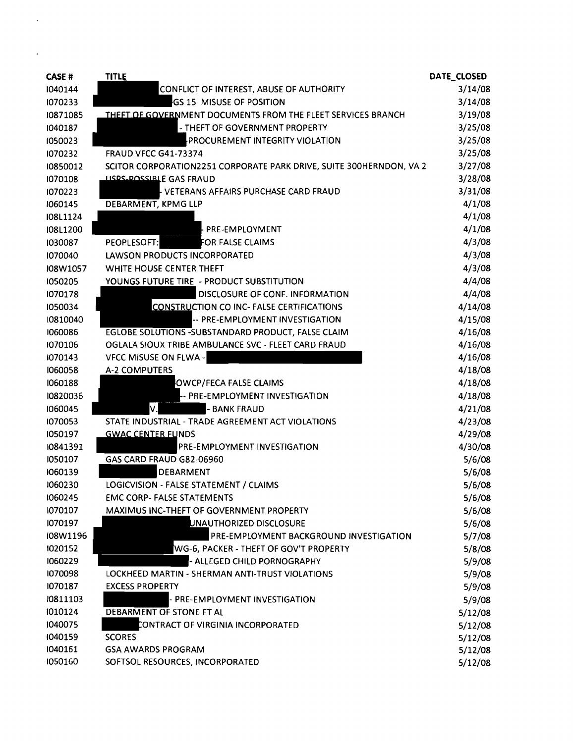| <b>CASE#</b>       | <b>TITLE</b>                                                        | DATE_CLOSED |
|--------------------|---------------------------------------------------------------------|-------------|
| 1040144            | CONFLICT OF INTEREST, ABUSE OF AUTHORITY                            | 3/14/08     |
| 1070233            | GS 15 MISUSE OF POSITION                                            | 3/14/08     |
| 10871085           | THEFT OF GOVERNMENT DOCUMENTS FROM THE FLEET SERVICES BRANCH        | 3/19/08     |
| 1040187            | - THEFT OF GOVERNMENT PROPERTY                                      | 3/25/08     |
| 1050023            | PROCUREMENT INTEGRITY VIOLATION                                     | 3/25/08     |
| 1070232            | <b>FRAUD VFCC G41-73374</b>                                         | 3/25/08     |
| 10850012           | SCITOR CORPORATION2251 CORPORATE PARK DRIVE, SUITE 300HERNDON, VA 2 | 3/27/08     |
| 1070108            | <b>LISPS POSSIBLE GAS FRAUD</b>                                     | 3/28/08     |
| 1070223            | VETERANS AFFAIRS PURCHASE CARD FRAUD                                | 3/31/08     |
| 1060145            | DEBARMENT, KPMG LLP                                                 | 4/1/08      |
| I08L1124           |                                                                     | 4/1/08      |
| I08L1200           | PRE-EMPLOYMENT                                                      | 4/1/08      |
| 1030087            | FOR FALSE CLAIMS<br>PEOPLESOFT:                                     | 4/3/08      |
| 1070040            | LAWSON PRODUCTS INCORPORATED                                        | 4/3/08      |
| I08W1057           | WHITE HOUSE CENTER THEFT                                            | 4/3/08      |
| 1050205            | YOUNGS FUTURE TIRE - PRODUCT SUBSTITUTION                           | 4/4/08      |
| 1070178            | DISCLOSURE OF CONF. INFORMATION                                     | 4/4/08      |
| 1050034            | <b>CONSTRUCTION CO INC- FALSE CERTIFICATIONS</b>                    | 4/14/08     |
| 10810040           | -- PRE-EMPLOYMENT INVESTIGATION                                     | 4/15/08     |
| 1060086            | EGLOBE SOLUTIONS -SUBSTANDARD PRODUCT, FALSE CLAIM                  | 4/16/08     |
| 1070106            | OGLALA SIOUX TRIBE AMBULANCE SVC - FLEET CARD FRAUD                 | 4/16/08     |
| 1070143            | <b>VFCC MISUSE ON FLWA -</b>                                        | 4/16/08     |
| 1060058            | <b>A-2 COMPUTERS</b>                                                | 4/18/08     |
| 1060188            | OWCP/FECA FALSE CLAIMS                                              | 4/18/08     |
| 10820036           | PRE-EMPLOYMENT INVESTIGATION                                        | 4/18/08     |
| 1060045            | V.<br><b>BANK FRAUD</b>                                             | 4/21/08     |
| 1070053            | STATE INDUSTRIAL - TRADE AGREEMENT ACT VIOLATIONS                   | 4/23/08     |
| 1050197            | <b>GWAC CENTER FUNDS</b>                                            | 4/29/08     |
| 10841391           | <b>PRE-EMPLOYMENT INVESTIGATION</b>                                 | 4/30/08     |
| 1050107            | <b>GAS CARD FRAUD G82-06960</b>                                     | 5/6/08      |
| 1060139            | DEBARMENT                                                           | 5/6/08      |
| 1060230            | LOGICVISION - FALSE STATEMENT / CLAIMS                              | 5/6/08      |
| 1060245            | <b>EMC CORP- FALSE STATEMENTS</b>                                   | 5/6/08      |
| 1070107            | MAXIMUS INC-THEFT OF GOVERNMENT PROPERTY                            | 5/6/08      |
| 1070197            | UNAUTHORIZED DISCLOSURE                                             | 5/6/08      |
| I08W1196           | PRE-EMPLOYMENT BACKGROUND INVESTIGATION                             | 5/7/08      |
| 1020152            | WG-6, PACKER - THEFT OF GOV'T PROPERTY                              | 5/8/08      |
| 1060229            | - ALLEGED CHILD PORNOGRAPHY                                         | 5/9/08      |
| 1070098            | LOCKHEED MARTIN - SHERMAN ANTI-TRUST VIOLATIONS                     | 5/9/08      |
| 1070187            | <b>EXCESS PROPERTY</b>                                              | 5/9/08      |
| 10811103           | - PRE-EMPLOYMENT INVESTIGATION                                      | 5/9/08      |
| 1010124            | DEBARMENT OF STONE ET AL                                            | 5/12/08     |
| 1040075            | CONTRACT OF VIRGINIA INCORPORATED                                   | 5/12/08     |
| 1040159<br>1040161 | <b>SCORES</b>                                                       | 5/12/08     |
| 1050160            | <b>GSA AWARDS PROGRAM</b>                                           | 5/12/08     |
|                    | SOFTSOL RESOURCES, INCORPORATED                                     | 5/12/08     |

 $\epsilon$ 

 $\mathbf{r} = \mathbf{r} \times \mathbf{r}$  .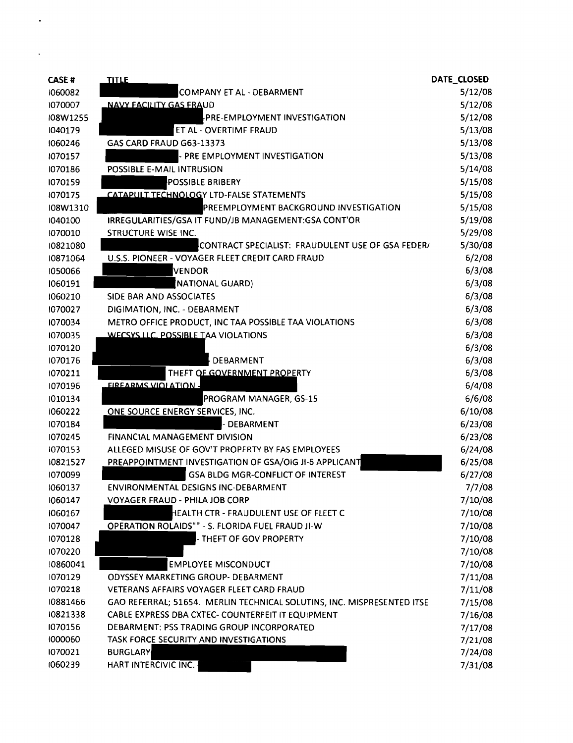| <b>CASE#</b> | <b>TITLE</b>                                                           | DATE_CLOSED |
|--------------|------------------------------------------------------------------------|-------------|
| 1060082      | COMPANY ET AL - DEBARMENT                                              | 5/12/08     |
| 1070007      | <b>NAVY FACILITY GAS FRAUD</b>                                         | 5/12/08     |
| I08W1255     | FPRE-EMPLOYMENT INVESTIGATION                                          | 5/12/08     |
| 1040179      | ET AL - OVERTIME FRAUD                                                 | 5/13/08     |
| 1060246      | GAS CARD FRAUD G63-13373                                               | 5/13/08     |
| 1070157      | PRE EMPLOYMENT INVESTIGATION                                           | 5/13/08     |
| 1070186      | POSSIBLE E-MAIL INTRUSION                                              | 5/14/08     |
| 1070159      | POSSIBLE BRIBERY                                                       | 5/15/08     |
| 1070175      | CATAPULT TECHNOLOGY LTD-FALSE STATEMENTS                               | 5/15/08     |
| I08W1310     | PREEMPLOYMENT BACKGROUND INVESTIGATION                                 | 5/15/08     |
| 1040100      | IRREGULARITIES/GSA IT FUND/JB MANAGEMENT: GSA CONT'OR                  | 5/19/08     |
| 1070010      | STRUCTURE WISE INC.                                                    | 5/29/08     |
| 10821080     | CONTRACT SPECIALIST: FRAUDULENT USE OF GSA FEDER/                      | 5/30/08     |
| 10871064     | U.S.S. PIONEER - VOYAGER FLEET CREDIT CARD FRAUD                       | 6/2/08      |
| 1050066      | <b>VENDOR</b>                                                          | 6/3/08      |
| 1060191      | NATIONAL GUARD)                                                        | 6/3/08      |
| 1060210      | <b>SIDE BAR AND ASSOCIATES</b>                                         | 6/3/08      |
| 1070027      | DIGIMATION, INC. - DEBARMENT                                           | 6/3/08      |
| 1070034      | METRO OFFICE PRODUCT, INC TAA POSSIBLE TAA VIOLATIONS                  | 6/3/08      |
| 1070035      | <b>WECSYS LLC. POSSIBLE TAA VIOLATIONS</b>                             | 6/3/08      |
| 1070120      |                                                                        | 6/3/08      |
| 1070176      | DEBARMENT                                                              | 6/3/08      |
| 1070211      | THEFT OF GOVERNMENT PROPERTY                                           | 6/3/08      |
| 1070196      | <b>EIREARMS VIOLATION -</b>                                            | 6/4/08      |
| 1010134      | PROGRAM MANAGER, GS-15                                                 | 6/6/08      |
| 1060222      | ONE SOURCE ENERGY SERVICES, INC.                                       | 6/10/08     |
| 1070184      | <b>DEBARMENT</b>                                                       | 6/23/08     |
| 1070245      | FINANCIAL MANAGEMENT DIVISION                                          | 6/23/08     |
| 1070153      | ALLEGED MISUSE OF GOV'T PROPERTY BY FAS EMPLOYEES                      | 6/24/08     |
| 10821527     | PREAPPOINTMENT INVESTIGATION OF GSA/OIG JI-6 APPLICANT                 | 6/25/08     |
| 1070099      | <b>GSA BLDG MGR-CONFLICT OF INTEREST</b>                               | 6/27/08     |
| 1060137      | <b>ENVIRONMENTAL DESIGNS INC-DEBARMENT</b>                             | 7/7/08      |
| 1060147      | <b>VOYAGER FRAUD - PHILA JOB CORP</b>                                  | 7/10/08     |
| 1060167      | HEALTH CTR - FRAUDULENT USE OF FLEET C                                 | 7/10/08     |
| 1070047      | OPERATION ROLAIDS"" - S. FLORIDA FUEL FRAUD JI-W                       | 7/10/08     |
| 1070128      | - THEFT OF GOV PROPERTY                                                | 7/10/08     |
| 1070220      |                                                                        | 7/10/08     |
| 10860041     | <b>EMPLOYEE MISCONDUCT</b>                                             | 7/10/08     |
| 1070129      | <b>ODYSSEY MARKETING GROUP- DEBARMENT</b>                              | 7/11/08     |
| 1070218      | VETERANS AFFAIRS VOYAGER FLEET CARD FRAUD                              | 7/11/08     |
| 10881466     | GAO REFERRAL; 51654. MERLIN TECHNICAL SOLUTINS, INC. MISPRESENTED ITSE | 7/15/08     |
| 10821338     | CABLE EXPRESS DBA CXTEC- COUNTERFEIT IT EQUIPMENT                      | 7/16/08     |
| 1070156      | DEBARMENT: PSS TRADING GROUP INCORPORATED                              | 7/17/08     |
| 1000060      | TASK FORCE SECURITY AND INVESTIGATIONS                                 | 7/21/08     |
| 1070021      | <b>BURGLARY</b>                                                        | 7/24/08     |
| 1060239      | HART INTERCIVIC INC.                                                   | 7/31/08     |

 $\hat{\textbf{z}}$ 

 $\mathcal{L}^{\text{max}}_{\text{max}}$  and  $\mathcal{L}^{\text{max}}_{\text{max}}$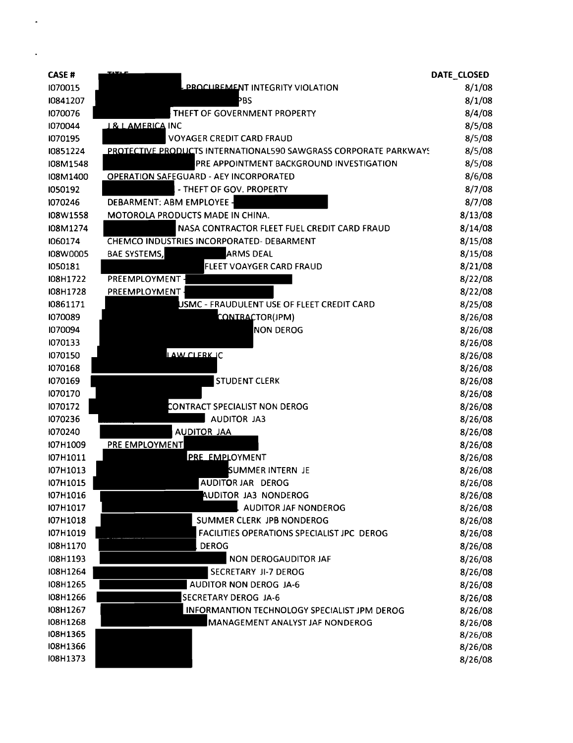| <b>CASE#</b>         |                                                                  | DATE_CLOSED        |
|----------------------|------------------------------------------------------------------|--------------------|
| 1070015              | <b>PROCUREMENT INTEGRITY VIOLATION</b>                           | 8/1/08             |
| 10841207             | ÞBS                                                              | 8/1/08             |
| 1070076              | THEFT OF GOVERNMENT PROPERTY                                     | 8/4/08             |
| 1070044              | <u>I &amp; L AMERICA</u> INC                                     | 8/5/08             |
| 1070195              | <b>VOYAGER CREDIT CARD FRAUD</b>                                 | 8/5/08             |
| 10851224             | PROTECTIVE PRODUCTS INTERNATIONAL590 SAWGRASS CORPORATE PARKWAYS | 8/5/08             |
| I08M1548             | PRE APPOINTMENT BACKGROUND INVESTIGATION                         | 8/5/08             |
| I08M1400             | <b>OPERATION SAFEGUARD - AEY INCORPORATED</b>                    | 8/6/08             |
| 1050192              | - THEFT OF GOV. PROPERTY                                         | 8/7/08             |
| 1070246              | DEBARMENT: ABM EMPLOYEE -                                        | 8/7/08             |
| I08W1558             | MOTOROLA PRODUCTS MADE IN CHINA.                                 | 8/13/08            |
| I08M1274             | NASA CONTRACTOR FLEET FUEL CREDIT CARD FRAUD                     | 8/14/08            |
| 1060174              | CHEMCO INDUSTRIES INCORPORATED- DEBARMENT                        | 8/15/08            |
| I08W0005             | <b>BAE SYSTEMS,</b><br><b>ARMS DEAL</b>                          | 8/15/08            |
| 1050181              | FLEET VOAYGER CARD FRAUD                                         | 8/21/08            |
| I08H1722             | PREEMPLOYMENT -                                                  | 8/22/08            |
| I08H1728             | PREEMPLOYMENT                                                    | 8/22/08            |
| 10861171             | USMC - FRAUDULENT USE OF FLEET CREDIT CARD                       | 8/25/08            |
| 1070089              | CONTRACTOR(JPM)                                                  | 8/26/08            |
| 1070094              | <b>NON DEROG</b>                                                 | 8/26/08            |
| 1070133              |                                                                  | 8/26/08            |
| 1070150              | LAW CLERK IC                                                     | 8/26/08            |
| 1070168              |                                                                  | 8/26/08            |
| 1070169              | <b>STUDENT CLERK</b>                                             | 8/26/08            |
| 1070170              |                                                                  | 8/26/08            |
| 1070172              | CONTRACT SPECIALIST NON DEROG                                    | 8/26/08            |
| 1070236              | <b>AUDITOR JA3</b>                                               | 8/26/08            |
| 1070240              | <b>AUDITOR JAA</b>                                               | 8/26/08            |
| I07H1009             | PRE EMPLOYMENT                                                   | 8/26/08            |
| I07H1011             | <b>PRE EMPLOYMENT</b>                                            | 8/26/08            |
| I07H1013             | SUMMER INTERN JE                                                 | 8/26/08            |
| I07H1015             | AUDITOR JAR DEROG                                                | 8/26/08            |
| I07H1016             | <b>AUDITOR JA3 NONDEROG</b>                                      | 8/26/08            |
| I07H1017             | <b>AUDITOR JAF NONDEROG</b>                                      | 8/26/08            |
| I07H1018             | SUMMER CLERK JPB NONDEROG                                        | 8/26/08            |
| I07H1019             | FACILITIES OPERATIONS SPECIALIST JPC DEROG                       | 8/26/08            |
| I08H1170             | <b>DEROG</b>                                                     | 8/26/08            |
| I08H1193             | NON DEROGAUDITOR JAF                                             | 8/26/08            |
| I08H1264             | SECRETARY JI-7 DEROG                                             | 8/26/08            |
| I08H1265             | <b>AUDITOR NON DEROG JA-6</b>                                    | 8/26/08            |
| I08H1266             | <b>SECRETARY DEROG JA-6</b>                                      | 8/26/08            |
| I08H1267             | INFORMANTION TECHNOLOGY SPECIALIST JPM DEROG                     | 8/26/08            |
| I08H1268<br>I08H1365 | MANAGEMENT ANALYST JAF NONDEROG                                  | 8/26/08            |
| <b>IO8H1366</b>      |                                                                  | 8/26/08<br>8/26/08 |
| I08H1373             |                                                                  | 8/26/08            |
|                      |                                                                  |                    |

 $\bullet$ 

 $\hat{\mathbf{r}}$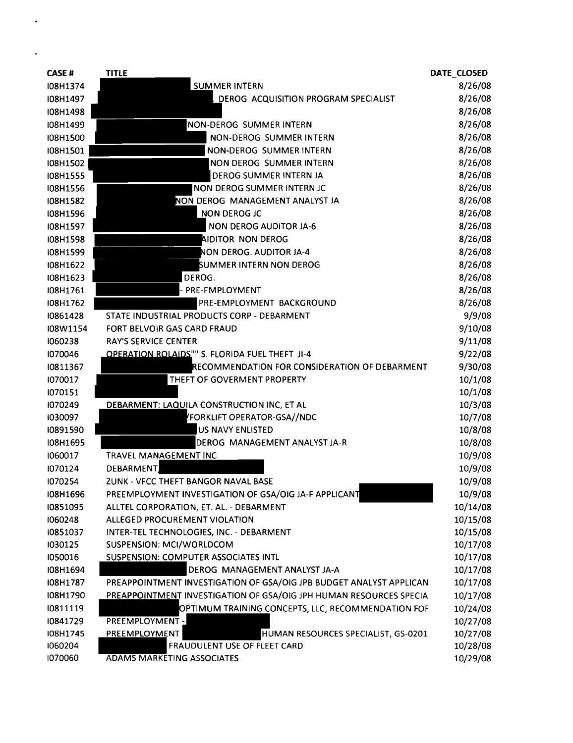| <b>CASE#</b> | <b>TITLE</b>                                                        | DATE_CLOSED |
|--------------|---------------------------------------------------------------------|-------------|
| I08H1374     | <b>SUMMER INTERN</b>                                                | 8/26/08     |
| I08H1497     | DEROG ACQUISITION PROGRAM SPECIALIST                                | 8/26/08     |
| I08H1498     |                                                                     | 8/26/08     |
| I08H1499     | NON-DEROG SUMMER INTERN                                             | 8/26/08     |
| I08H1500     | NON-DEROG SUMMER INTERN                                             | 8/26/08     |
| I08H1501     | NON-DEROG SUMMER INTERN                                             | 8/26/08     |
| I08H1502     | NON DEROG SUMMER INTERN                                             | 8/26/08     |
| I08H1555     | DEROG SUMMER INTERN JA                                              | 8/26/08     |
| I08H1556     | NON DEROG SUMMER INTERN JC                                          | 8/26/08     |
| I08H1582     | NON DEROG MANAGEMENT ANALYST JA                                     | 8/26/08     |
| I08H1596     | NON DEROG JC                                                        | 8/26/08     |
| I08H1597     | <b>NON DEROG AUDITOR JA-6</b>                                       | 8/26/08     |
| I08H1598     | <b>AIDITOR NON DEROG</b>                                            | 8/26/08     |
| I08H1599     | NON DEROG. AUDITOR JA-4                                             | 8/26/08     |
| I08H1622     | <b>SUMMER INTERN NON DEROG</b>                                      | 8/26/08     |
| I08H1623     | DEROG.                                                              | 8/26/08     |
| I08H1761     | PRE-EMPLOYMENT                                                      | 8/26/08     |
| I08H1762     | PRE-EMPLOYMENT BACKGROUND                                           | 8/26/08     |
| 10861428     | STATE INDUSTRIAL PRODUCTS CORP - DEBARMENT                          | 9/9/08      |
| I08W1154     | FORT BELVOIR GAS CARD FRAUD                                         | 9/10/08     |
| 1060238      | <b>RAY'S SERVICE CENTER</b>                                         | 9/11/08     |
| 1070046      | OPERATION ROLAIDS"" S. FLORIDA FUEL THEFT JI-4                      | 9/22/08     |
| 10811367     | RECOMMENDATION FOR CONSIDERATION OF DEBARMENT                       | 9/30/08     |
| 1070017      | THEFT OF GOVERMENT PROPERTY                                         | 10/1/08     |
| 1070151      |                                                                     | 10/1/08     |
| 1070249      | DEBARMENT: LAQUILA CONSTRUCTION INC, ET AL                          | 10/3/08     |
| 1030097      | FORKLIFT OPERATOR-GSA//NDC                                          | 10/7/08     |
| 10891590     | <b>US NAVY ENLISTED</b>                                             | 10/8/08     |
| I08H1695     | DEROG MANAGEMENT ANALYST JA-R                                       | 10/8/08     |
| 1060017      | TRAVEL MANAGEMENT INC                                               | 10/9/08     |
| 1070124      | DEBARMENT                                                           | 10/9/08     |
| 1070254      | ZUNK - VFCC THEFT BANGOR NAVAL BASE                                 | 10/9/08     |
| I08H1696     | PREEMPLOYMENT INVESTIGATION OF GSA/OIG JA-F APPLICANT               | 10/9/08     |
| 10851095     | ALLTEL CORPORATION, ET. AL. - DEBARMENT                             | 10/14/08    |
| 1060248      | ALLEGED PROCUREMENT VIOLATION                                       | 10/15/08    |
| 10851037     | INTER-TEL TECHNOLOGIES, INC. - DEBARMENT                            | 10/15/08    |
| 1030125      | SUSPENSION: MCI/WORLDCOM                                            | 10/17/08    |
| 1050016      | SUSPENSION: COMPUTER ASSOCIATES INTL                                | 10/17/08    |
| I08H1694     | DEROG MANAGEMENT ANALYST JA-A                                       | 10/17/08    |
| I08H1787     | PREAPPOINTMENT INVESTIGATION OF GSA/OIG JPB BUDGET ANALYST APPLICAN | 10/17/08    |
| I08H1790     | PREAPPOINTMENT INVESTIGATION OF GSA/OIG JPH HUMAN RESOURCES SPECIA  | 10/17/08    |
| 10811119     | OPTIMUM TRAINING CONCEPTS, LLC, RECOMMENDATION FOF                  | 10/24/08    |
| 10841729     | PREEMPLOYMENT -                                                     | 10/27/08    |
| I08H1745     | PREEMPLOYMENT<br>HUMAN RESOURCES SPECIALIST, GS-0201                | 10/27/08    |
| 1060204      | FRAUDULENT USE OF FLEET CARD                                        | 10/28/08    |
| 1070060      | <b>ADAMS MARKETING ASSOCIATES</b>                                   | 10/29/08    |

 $\cdot$ 

 $\mathcal{L}^{\text{max}}$